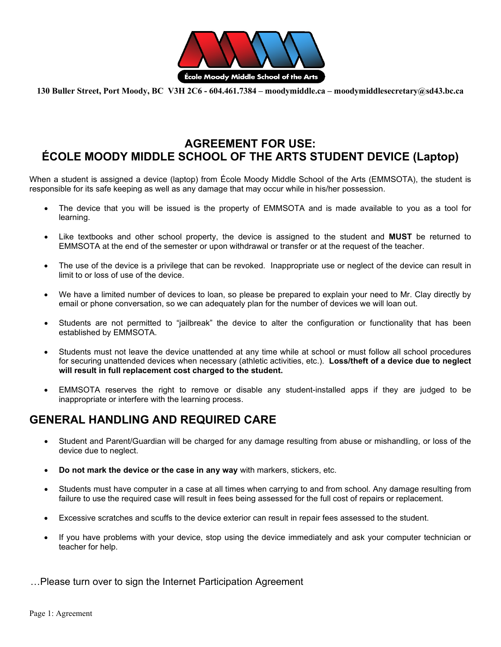

**130 Buller Street, Port Moody, BC V3H 2C6 - 604.461.7384 – moodymiddle.ca – moodymiddlesecretary@sd43.bc.ca** 

## **AGREEMENT FOR USE: ÉCOLE MOODY MIDDLE SCHOOL OF THE ARTS STUDENT DEVICE (Laptop)**

When a student is assigned a device (laptop) from École Moody Middle School of the Arts (EMMSOTA), the student is responsible for its safe keeping as well as any damage that may occur while in his/her possession.

- The device that you will be issued is the property of EMMSOTA and is made available to you as a tool for learning.
- Like textbooks and other school property, the device is assigned to the student and **MUST** be returned to EMMSOTA at the end of the semester or upon withdrawal or transfer or at the request of the teacher.
- The use of the device is a privilege that can be revoked. Inappropriate use or neglect of the device can result in limit to or loss of use of the device.
- We have a limited number of devices to loan, so please be prepared to explain your need to Mr. Clay directly by email or phone conversation, so we can adequately plan for the number of devices we will loan out.
- Students are not permitted to "jailbreak" the device to alter the configuration or functionality that has been established by EMMSOTA.
- Students must not leave the device unattended at any time while at school or must follow all school procedures for securing unattended devices when necessary (athletic activities, etc.). **Loss/theft of a device due to neglect will result in full replacement cost charged to the student.**
- EMMSOTA reserves the right to remove or disable any student-installed apps if they are judged to be inappropriate or interfere with the learning process.

## **GENERAL HANDLING AND REQUIRED CARE**

- Student and Parent/Guardian will be charged for any damage resulting from abuse or mishandling, or loss of the device due to neglect.
- **Do not mark the device or the case in any way** with markers, stickers, etc.
- Students must have computer in a case at all times when carrying to and from school. Any damage resulting from failure to use the required case will result in fees being assessed for the full cost of repairs or replacement.
- Excessive scratches and scuffs to the device exterior can result in repair fees assessed to the student.
- If you have problems with your device, stop using the device immediately and ask your computer technician or teacher for help.

…Please turn over to sign the Internet Participation Agreement